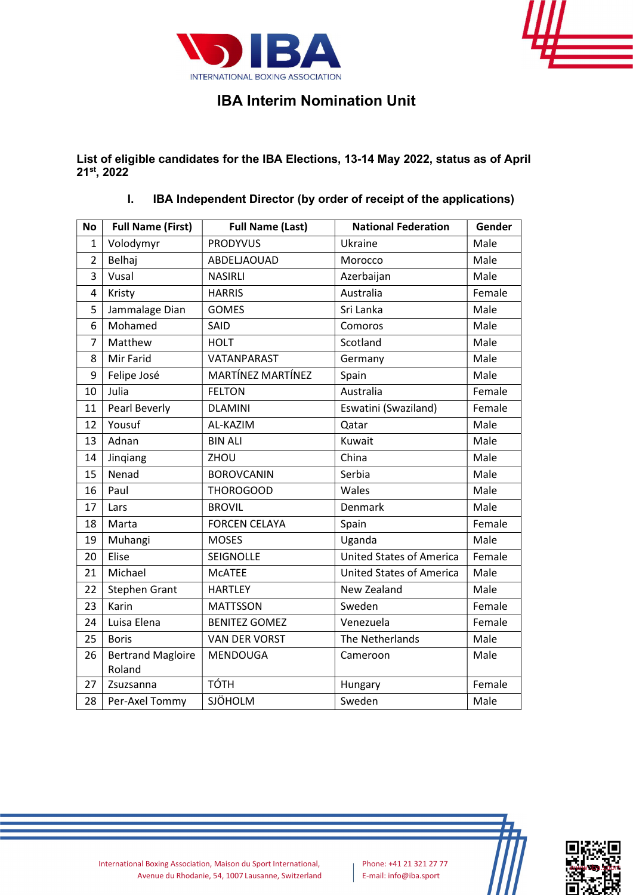



## IBA Interim Nomination Unit

List of eligible candidates for the IBA Elections, 13-14 May 2022, status as of April 21<sup>st</sup>, 2022

I. IBA Independent Director (by order of receipt of the applications)

| <b>No</b>      | <b>Full Name (First)</b>           | <b>Full Name (Last)</b> | <b>National Federation</b>      | Gender |
|----------------|------------------------------------|-------------------------|---------------------------------|--------|
| 1              | Volodymyr                          | <b>PRODYVUS</b>         | Ukraine                         | Male   |
| $\overline{2}$ | Belhaj                             | ABDELJAOUAD             | Morocco                         | Male   |
| 3              | Vusal                              | <b>NASIRLI</b>          | Azerbaijan                      | Male   |
| 4              | Kristy                             | <b>HARRIS</b>           | Australia                       | Female |
| 5              | Jammalage Dian                     | <b>GOMES</b>            | Sri Lanka                       | Male   |
| 6              | Mohamed                            | <b>SAID</b>             | Comoros                         | Male   |
| 7              | Matthew                            | <b>HOLT</b>             | Scotland                        | Male   |
| 8              | Mir Farid                          | VATANPARAST             | Germany                         | Male   |
| 9              | Felipe José                        | MARTÍNEZ MARTÍNEZ       | Spain                           | Male   |
| 10             | Julia                              | <b>FELTON</b>           | Australia                       | Female |
| 11             | Pearl Beverly                      | <b>DLAMINI</b>          | Eswatini (Swaziland)            | Female |
| 12             | Yousuf                             | AL-KAZIM                | Qatar                           | Male   |
| 13             | Adnan                              | <b>BIN ALI</b>          | Kuwait                          | Male   |
| 14             | Jinqiang                           | ZHOU                    | China                           | Male   |
| 15             | Nenad                              | <b>BOROVCANIN</b>       | Serbia                          | Male   |
| 16             | Paul                               | <b>THOROGOOD</b>        | Wales                           | Male   |
| 17             | Lars                               | <b>BROVIL</b>           | Denmark                         | Male   |
| 18             | Marta                              | <b>FORCEN CELAYA</b>    | Spain                           | Female |
| 19             | Muhangi                            | <b>MOSES</b>            | Uganda                          | Male   |
| 20             | Elise                              | SEIGNOLLE               | <b>United States of America</b> | Female |
| 21             | Michael                            | <b>MCATEE</b>           | <b>United States of America</b> | Male   |
| 22             | <b>Stephen Grant</b>               | <b>HARTLEY</b>          | New Zealand                     | Male   |
| 23             | Karin                              | <b>MATTSSON</b>         | Sweden                          | Female |
| 24             | Luisa Elena                        | <b>BENITEZ GOMEZ</b>    | Venezuela                       | Female |
| 25             | <b>Boris</b>                       | <b>VAN DER VORST</b>    | The Netherlands                 | Male   |
| 26             | <b>Bertrand Magloire</b><br>Roland | MENDOUGA                | Cameroon                        | Male   |
| 27             | Zsuzsanna                          | <b>TÓTH</b>             | Hungary                         | Female |
| 28             | Per-Axel Tommy                     | SJÖHOLM                 | Sweden                          | Male   |



International Boxing Association, Maison du Sport International, Phone: +41 21 321 27 77 Avenue du Rhodanie, 54, 1007 Lausanne, Switzerland E-mail: info@iba.sport